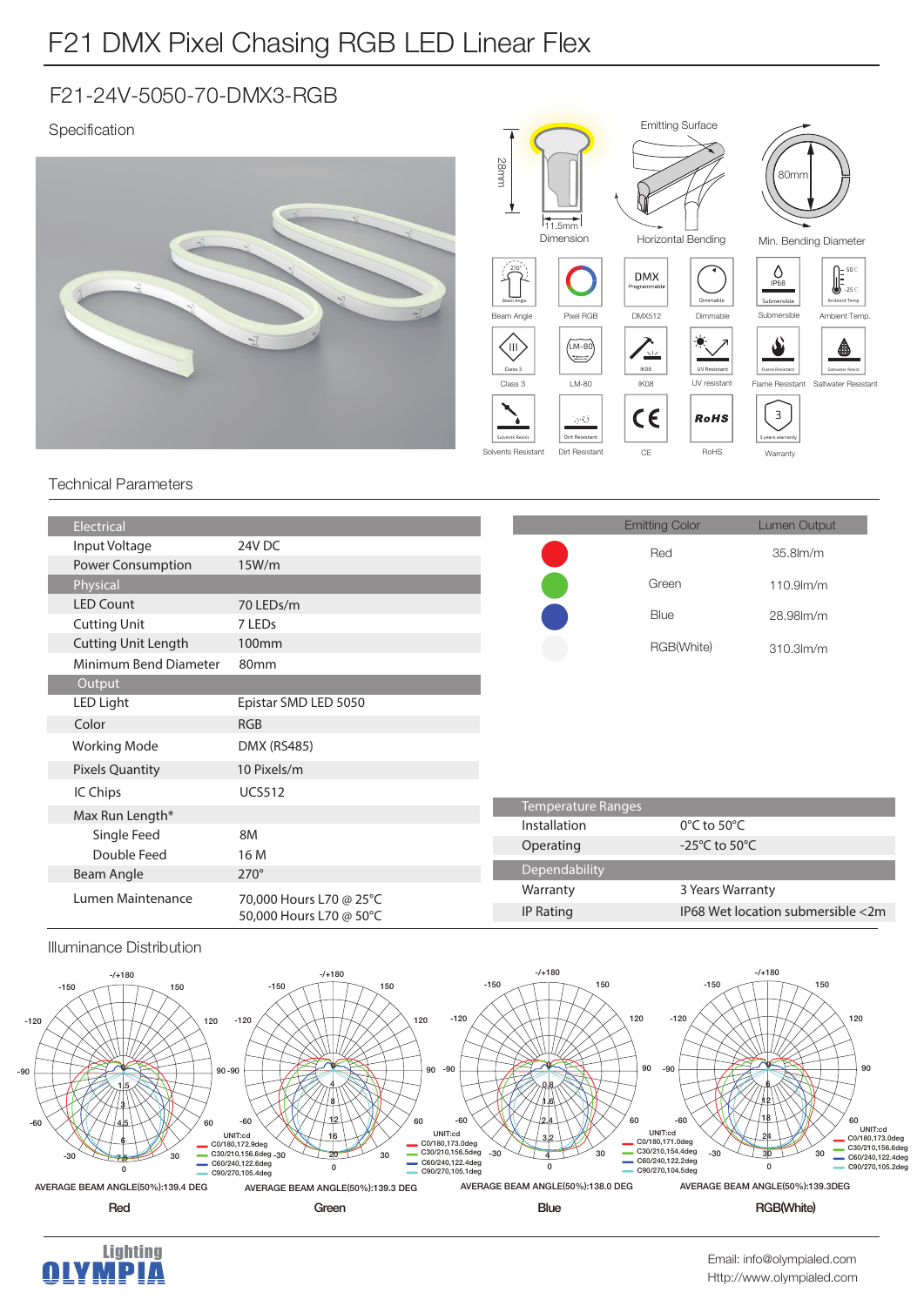## F21 DMX Pixel Chasing RGB LED Linear Flex

### F21-24V-5050-70-DMX3-RGB

### Specification



#### Technical Parameters

| Electrical                 |                                                    |               | <b>Emitting Color</b>             | Lumen Output                      |
|----------------------------|----------------------------------------------------|---------------|-----------------------------------|-----------------------------------|
| Input Voltage              | 24V DC                                             |               | Red                               | 35.8lm/m                          |
| Power Consumption          | 15W/m                                              |               |                                   |                                   |
| Physical                   |                                                    |               | Green                             | $110.9$ m/m                       |
| <b>LED Count</b>           | 70 LEDs/m                                          |               | Blue                              |                                   |
| <b>Cutting Unit</b>        | 7 LED <sub>s</sub>                                 |               |                                   | 28.98lm/m                         |
| <b>Cutting Unit Length</b> | 100 <sub>mm</sub>                                  |               | RGB(White)                        | $310.3$ m/m                       |
| Minimum Bend Diameter      | 80mm                                               |               |                                   |                                   |
| Output                     |                                                    |               |                                   |                                   |
| LED Light                  | Epistar SMD LED 5050                               |               |                                   |                                   |
| Color                      | <b>RGB</b>                                         |               |                                   |                                   |
| <b>Working Mode</b>        | <b>DMX (RS485)</b>                                 |               |                                   |                                   |
| <b>Pixels Quantity</b>     | 10 Pixels/m                                        |               |                                   |                                   |
| IC Chips                   | <b>UCS512</b>                                      |               |                                   |                                   |
| Max Run Length*            |                                                    |               | <b>Temperature Ranges</b>         |                                   |
| Single Feed                | 8M                                                 | Installation  | $0^{\circ}$ C to 50 $^{\circ}$ C  |                                   |
| Double Feed                | 16 M                                               | Operating     | -25 $\degree$ C to 50 $\degree$ C |                                   |
| Beam Angle                 | $270^\circ$                                        | Dependability |                                   |                                   |
| Lumen Maintenance          | 70,000 Hours L70 @ 25°C<br>50,000 Hours L70 @ 50°C | Warranty      | 3 Years Warranty                  |                                   |
|                            |                                                    | IP Rating     |                                   | IP68 Wet location submersible <2m |
|                            |                                                    |               |                                   |                                   |

#### Illuminance Distribution